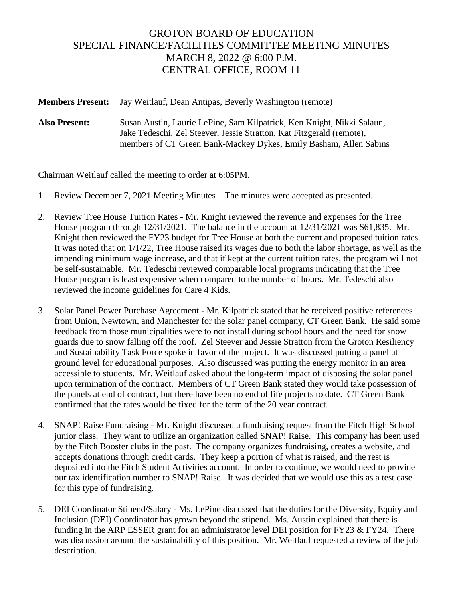## GROTON BOARD OF EDUCATION SPECIAL FINANCE/FACILITIES COMMITTEE MEETING MINUTES MARCH 8, 2022 @ 6:00 P.M. CENTRAL OFFICE, ROOM 11

**Members Present:** Jay Weitlauf, Dean Antipas, Beverly Washington (remote)

**Also Present:** Susan Austin, Laurie LePine, Sam Kilpatrick, Ken Knight, Nikki Salaun, Jake Tedeschi, Zel Steever, Jessie Stratton, Kat Fitzgerald (remote), members of CT Green Bank-Mackey Dykes, Emily Basham, Allen Sabins

Chairman Weitlauf called the meeting to order at 6:05PM.

- 1. Review December 7, 2021 Meeting Minutes The minutes were accepted as presented.
- 2. Review Tree House Tuition Rates Mr. Knight reviewed the revenue and expenses for the Tree House program through 12/31/2021. The balance in the account at 12/31/2021 was \$61,835. Mr. Knight then reviewed the FY23 budget for Tree House at both the current and proposed tuition rates. It was noted that on 1/1/22, Tree House raised its wages due to both the labor shortage, as well as the impending minimum wage increase, and that if kept at the current tuition rates, the program will not be self-sustainable. Mr. Tedeschi reviewed comparable local programs indicating that the Tree House program is least expensive when compared to the number of hours. Mr. Tedeschi also reviewed the income guidelines for Care 4 Kids.
- 3. Solar Panel Power Purchase Agreement Mr. Kilpatrick stated that he received positive references from Union, Newtown, and Manchester for the solar panel company, CT Green Bank. He said some feedback from those municipalities were to not install during school hours and the need for snow guards due to snow falling off the roof. Zel Steever and Jessie Stratton from the Groton Resiliency and Sustainability Task Force spoke in favor of the project. It was discussed putting a panel at ground level for educational purposes. Also discussed was putting the energy monitor in an area accessible to students. Mr. Weitlauf asked about the long-term impact of disposing the solar panel upon termination of the contract. Members of CT Green Bank stated they would take possession of the panels at end of contract, but there have been no end of life projects to date. CT Green Bank confirmed that the rates would be fixed for the term of the 20 year contract.
- 4. SNAP! Raise Fundraising Mr. Knight discussed a fundraising request from the Fitch High School junior class. They want to utilize an organization called SNAP! Raise. This company has been used by the Fitch Booster clubs in the past. The company organizes fundraising, creates a website, and accepts donations through credit cards. They keep a portion of what is raised, and the rest is deposited into the Fitch Student Activities account. In order to continue, we would need to provide our tax identification number to SNAP! Raise. It was decided that we would use this as a test case for this type of fundraising.
- 5. DEI Coordinator Stipend/Salary Ms. LePine discussed that the duties for the Diversity, Equity and Inclusion (DEI) Coordinator has grown beyond the stipend. Ms. Austin explained that there is funding in the ARP ESSER grant for an administrator level DEI position for FY23  $&$  FY24. There was discussion around the sustainability of this position. Mr. Weitlauf requested a review of the job description.